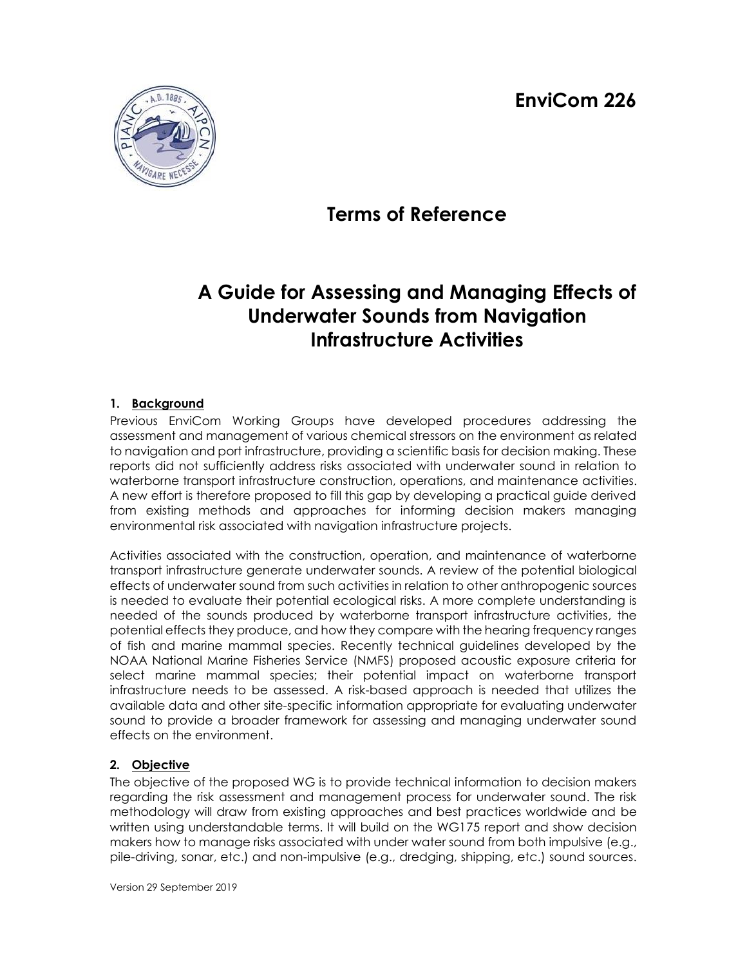**EnviCom 226**



## **Terms of Reference**

# **A Guide for Assessing and Managing Effects of Underwater Sounds from Navigation Infrastructure Activities**

#### **1. Background**

Previous EnviCom Working Groups have developed procedures addressing the assessment and management of various chemical stressors on the environment as related to navigation and port infrastructure, providing a scientific basis for decision making. These reports did not sufficiently address risks associated with underwater sound in relation to waterborne transport infrastructure construction, operations, and maintenance activities. A new effort is therefore proposed to fill this gap by developing a practical guide derived from existing methods and approaches for informing decision makers managing environmental risk associated with navigation infrastructure projects.

Activities associated with the construction, operation, and maintenance of waterborne transport infrastructure generate underwater sounds. A review of the potential biological effects of underwater sound from such activities in relation to other anthropogenic sources is needed to evaluate their potential ecological risks. A more complete understanding is needed of the sounds produced by waterborne transport infrastructure activities, the potential effects they produce, and how they compare with the hearing frequency ranges of fish and marine mammal species. Recently technical guidelines developed by the NOAA National Marine Fisheries Service (NMFS) proposed acoustic exposure criteria for select marine mammal species; their potential impact on waterborne transport infrastructure needs to be assessed. A risk-based approach is needed that utilizes the available data and other site-specific information appropriate for evaluating underwater sound to provide a broader framework for assessing and managing underwater sound effects on the environment.

## **2. Objective**

The objective of the proposed WG is to provide technical information to decision makers regarding the risk assessment and management process for underwater sound. The risk methodology will draw from existing approaches and best practices worldwide and be written using understandable terms. It will build on the WG175 report and show decision makers how to manage risks associated with under water sound from both impulsive (e.g., pile-driving, sonar, etc.) and non-impulsive (e.g., dredging, shipping, etc.) sound sources.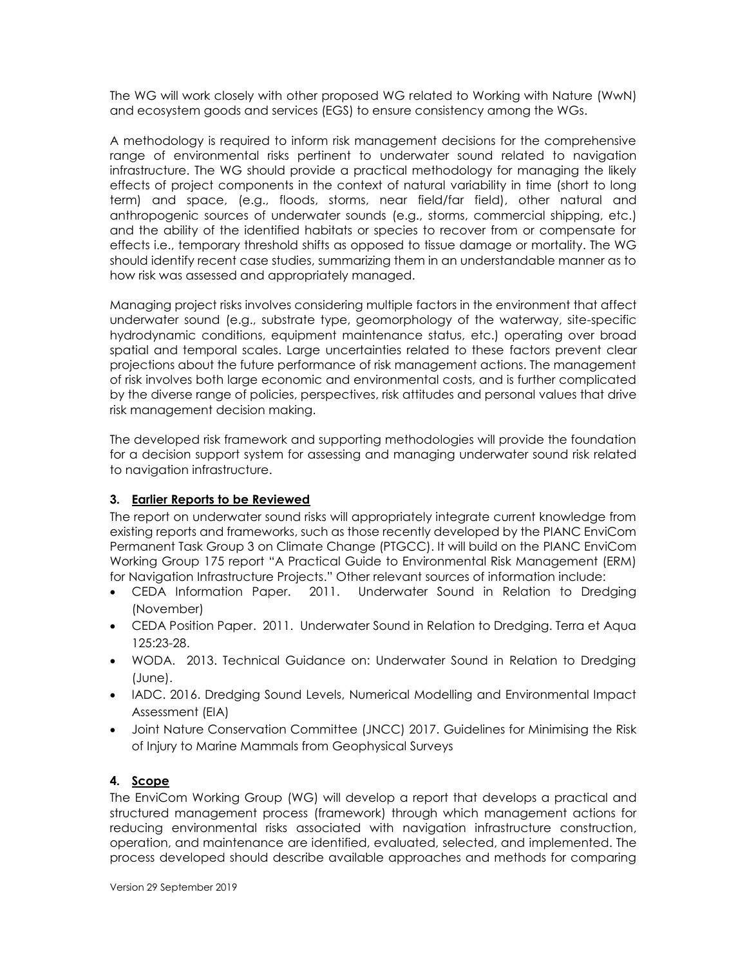The WG will work closely with other proposed WG related to Working with Nature (WwN) and ecosystem goods and services (EGS) to ensure consistency among the WGs.

A methodology is required to inform risk management decisions for the comprehensive range of environmental risks pertinent to underwater sound related to navigation infrastructure. The WG should provide a practical methodology for managing the likely effects of project components in the context of natural variability in time (short to long term) and space, (e.g., floods, storms, near field/far field), other natural and anthropogenic sources of underwater sounds (e.g., storms, commercial shipping, etc.) and the ability of the identified habitats or species to recover from or compensate for effects i.e., temporary threshold shifts as opposed to tissue damage or mortality. The WG should identify recent case studies, summarizing them in an understandable manner as to how risk was assessed and appropriately managed.

Managing project risks involves considering multiple factors in the environment that affect underwater sound (e.g., substrate type, geomorphology of the waterway, site-specific hydrodynamic conditions, equipment maintenance status, etc.) operating over broad spatial and temporal scales. Large uncertainties related to these factors prevent clear projections about the future performance of risk management actions. The management of risk involves both large economic and environmental costs, and is further complicated by the diverse range of policies, perspectives, risk attitudes and personal values that drive risk management decision making.

The developed risk framework and supporting methodologies will provide the foundation for a decision support system for assessing and managing underwater sound risk related to navigation infrastructure.

#### **3. Earlier Reports to be Reviewed**

The report on underwater sound risks will appropriately integrate current knowledge from existing reports and frameworks, such as those recently developed by the PIANC EnviCom Permanent Task Group 3 on Climate Change (PTGCC). It will build on the PIANC EnviCom Working Group 175 report "A Practical Guide to Environmental Risk Management (ERM) for Navigation Infrastructure Projects." Other relevant sources of information include:

- CEDA Information Paper. 2011. Underwater Sound in Relation to Dredging (November)
- CEDA Position Paper. 2011. Underwater Sound in Relation to Dredging. Terra et Aqua 125:23-28.
- WODA. 2013. Technical Guidance on: Underwater Sound in Relation to Dredging (June).
- IADC. 2016. Dredging Sound Levels, Numerical Modelling and Environmental Impact Assessment (EIA)
- Joint Nature Conservation Committee (JNCC) 2017. Guidelines for Minimising the Risk of Injury to Marine Mammals from Geophysical Surveys

#### **4. Scope**

The EnviCom Working Group (WG) will develop a report that develops a practical and structured management process (framework) through which management actions for reducing environmental risks associated with navigation infrastructure construction, operation, and maintenance are identified, evaluated, selected, and implemented. The process developed should describe available approaches and methods for comparing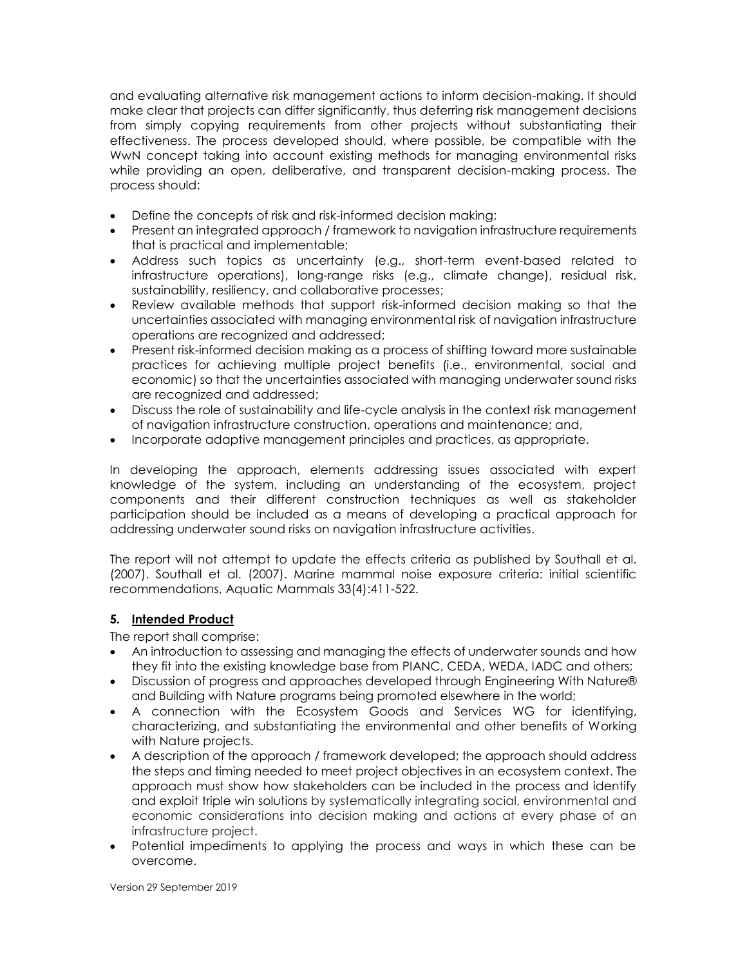and evaluating alternative risk management actions to inform decision-making. It should make clear that projects can differ significantly, thus deferring risk management decisions from simply copying requirements from other projects without substantiating their effectiveness. The process developed should, where possible, be compatible with the WwN concept taking into account existing methods for managing environmental risks while providing an open, deliberative, and transparent decision-making process. The process should:

- Define the concepts of risk and risk-informed decision making;
- Present an integrated approach / framework to navigation infrastructure requirements that is practical and implementable;
- Address such topics as uncertainty (e.g., short-term event-based related to infrastructure operations), long-range risks (e.g., climate change), residual risk, sustainability, resiliency, and collaborative processes;
- Review available methods that support risk-informed decision making so that the uncertainties associated with managing environmental risk of navigation infrastructure operations are recognized and addressed;
- Present risk-informed decision making as a process of shifting toward more sustainable practices for achieving multiple project benefits (i.e., environmental, social and economic) so that the uncertainties associated with managing underwater sound risks are recognized and addressed;
- Discuss the role of sustainability and life-cycle analysis in the context risk management of navigation infrastructure construction, operations and maintenance; and,
- Incorporate adaptive management principles and practices, as appropriate.

In developing the approach, elements addressing issues associated with expert knowledge of the system, including an understanding of the ecosystem, project components and their different construction techniques as well as stakeholder participation should be included as a means of developing a practical approach for addressing underwater sound risks on navigation infrastructure activities.

The report will not attempt to update the effects criteria as published by Southall et al. (2007). Southall et al. (2007). Marine mammal noise exposure criteria: initial scientific recommendations, Aquatic Mammals 33(4):411-522.

#### **5. Intended Product**

The report shall comprise:

- An introduction to assessing and managing the effects of underwater sounds and how they fit into the existing knowledge base from PIANC, CEDA, WEDA, IADC and others;
- Discussion of progress and approaches developed through Engineering With Nature® and Building with Nature programs being promoted elsewhere in the world;
- A connection with the Ecosystem Goods and Services WG for identifying, characterizing, and substantiating the environmental and other benefits of Working with Nature projects.
- A description of the approach / framework developed; the approach should address the steps and timing needed to meet project objectives in an ecosystem context. The approach must show how stakeholders can be included in the process and identify and exploit triple win solutions by systematically integrating social, environmental and economic considerations into decision making and actions at every phase of an infrastructure project.
- Potential impediments to applying the process and ways in which these can be overcome.